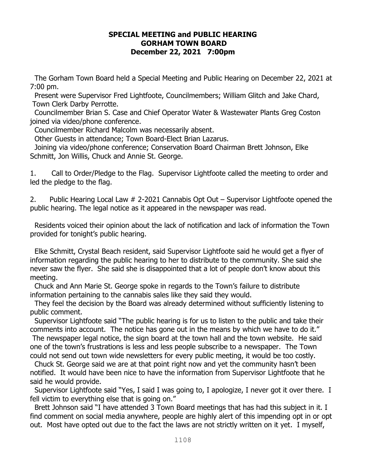#### **SPECIAL MEETING and PUBLIC HEARING GORHAM TOWN BOARD December 22, 2021 7:00pm**

The Gorham Town Board held a Special Meeting and Public Hearing on December 22, 2021 at 7:00 pm.

 Present were Supervisor Fred Lightfoote, Councilmembers; William Glitch and Jake Chard, Town Clerk Darby Perrotte.

Councilmember Brian S. Case and Chief Operator Water & Wastewater Plants Greg Coston joined via video/phone conference.

Councilmember Richard Malcolm was necessarily absent.

Other Guests in attendance; Town Board-Elect Brian Lazarus.

 Joining via video/phone conference; Conservation Board Chairman Brett Johnson, Elke Schmitt, Jon Willis, Chuck and Annie St. George.

1. Call to Order/Pledge to the Flag. Supervisor Lightfoote called the meeting to order and led the pledge to the flag.

2. Public Hearing Local Law # 2-2021 Cannabis Opt Out – Supervisor Lightfoote opened the public hearing. The legal notice as it appeared in the newspaper was read.

 Residents voiced their opinion about the lack of notification and lack of information the Town provided for tonight's public hearing.

 Elke Schmitt, Crystal Beach resident, said Supervisor Lightfoote said he would get a flyer of information regarding the public hearing to her to distribute to the community. She said she never saw the flyer. She said she is disappointed that a lot of people don't know about this meeting.

Chuck and Ann Marie St. George spoke in regards to the Town's failure to distribute information pertaining to the cannabis sales like they said they would.

They feel the decision by the Board was already determined without sufficiently listening to public comment.

 Supervisor Lightfoote said "The public hearing is for us to listen to the public and take their comments into account. The notice has gone out in the means by which we have to do it."

The newspaper legal notice, the sign board at the town hall and the town website. He said one of the town's frustrations is less and less people subscribe to a newspaper. The Town could not send out town wide newsletters for every public meeting, it would be too costly.

 Chuck St. George said we are at that point right now and yet the community hasn't been notified. It would have been nice to have the information from Supervisor Lightfoote that he said he would provide.

 Supervisor Lightfoote said "Yes, I said I was going to, I apologize, I never got it over there. I fell victim to everything else that is going on."

 Brett Johnson said "I have attended 3 Town Board meetings that has had this subject in it. I find comment on social media anywhere, people are highly alert of this impending opt in or opt out. Most have opted out due to the fact the laws are not strictly written on it yet. I myself,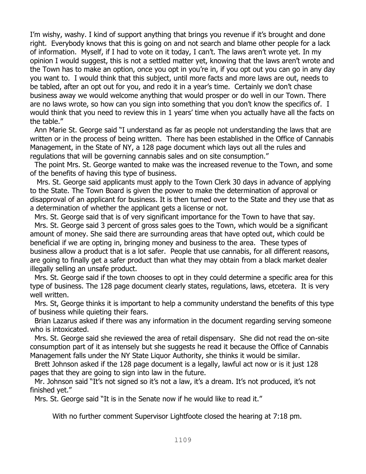I'm wishy, washy. I kind of support anything that brings you revenue if it's brought and done right. Everybody knows that this is going on and not search and blame other people for a lack of information. Myself, if I had to vote on it today, I can't. The laws aren't wrote yet. In my opinion I would suggest, this is not a settled matter yet, knowing that the laws aren't wrote and the Town has to make an option, once you opt in you're in, if you opt out you can go in any day you want to. I would think that this subject, until more facts and more laws are out, needs to be tabled, after an opt out for you, and redo it in a year's time. Certainly we don't chase business away we would welcome anything that would prosper or do well in our Town. There are no laws wrote, so how can you sign into something that you don't know the specifics of. I would think that you need to review this in 1 years' time when you actually have all the facts on the table."

 Ann Marie St. George said "I understand as far as people not understanding the laws that are written or in the process of being written. There has been established in the Office of Cannabis Management, in the State of NY, a 128 page document which lays out all the rules and regulations that will be governing cannabis sales and on site consumption."

 The point Mrs. St. George wanted to make was the increased revenue to the Town, and some of the benefits of having this type of business.

 Mrs. St. George said applicants must apply to the Town Clerk 30 days in advance of applying to the State. The Town Board is given the power to make the determination of approval or disapproval of an applicant for business. It is then turned over to the State and they use that as a determination of whether the applicant gets a license or not.

Mrs. St. George said that is of very significant importance for the Town to have that say.

 Mrs. St. George said 3 percent of gross sales goes to the Town, which would be a significant amount of money. She said there are surrounding areas that have opted out, which could be beneficial if we are opting in, bringing money and business to the area. These types of business allow a product that is a lot safer. People that use cannabis, for all different reasons, are going to finally get a safer product than what they may obtain from a black market dealer illegally selling an unsafe product.

 Mrs. St. George said if the town chooses to opt in they could determine a specific area for this type of business. The 128 page document clearly states, regulations, laws, etcetera. It is very well written.

 Mrs. St, George thinks it is important to help a community understand the benefits of this type of business while quieting their fears.

 Brian Lazarus asked if there was any information in the document regarding serving someone who is intoxicated.

 Mrs. St. George said she reviewed the area of retail dispensary. She did not read the on-site consumption part of it as intensely but she suggests he read it because the Office of Cannabis Management falls under the NY State Liquor Authority, she thinks it would be similar.

 Brett Johnson asked if the 128 page document is a legally, lawful act now or is it just 128 pages that they are going to sign into law in the future.

 Mr. Johnson said "It's not signed so it's not a law, it's a dream. It's not produced, it's not finished yet."

Mrs. St. George said "It is in the Senate now if he would like to read it."

With no further comment Supervisor Lightfoote closed the hearing at 7:18 pm.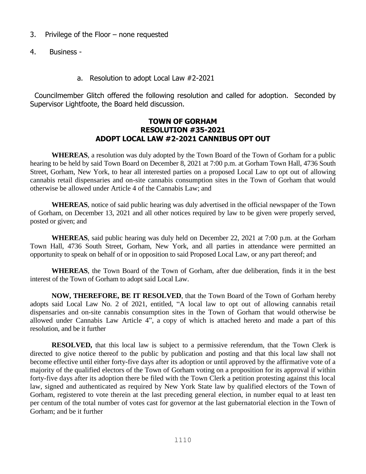- 3. Privilege of the Floor none requested
- 4. Business
	- a. Resolution to adopt Local Law #2-2021

 Councilmember Glitch offered the following resolution and called for adoption. Seconded by Supervisor Lightfoote, the Board held discussion.

#### **TOWN OF GORHAM RESOLUTION #35-2021 ADOPT LOCAL LAW #2-2021 CANNIBUS OPT OUT**

**WHEREAS**, a resolution was duly adopted by the Town Board of the Town of Gorham for a public hearing to be held by said Town Board on December 8, 2021 at 7:00 p.m. at Gorham Town Hall, 4736 South Street, Gorham, New York, to hear all interested parties on a proposed Local Law to opt out of allowing cannabis retail dispensaries and on-site cannabis consumption sites in the Town of Gorham that would otherwise be allowed under Article 4 of the Cannabis Law; and

**WHEREAS**, notice of said public hearing was duly advertised in the official newspaper of the Town of Gorham, on December 13, 2021 and all other notices required by law to be given were properly served, posted or given; and

**WHEREAS**, said public hearing was duly held on December 22, 2021 at 7:00 p.m. at the Gorham Town Hall, 4736 South Street, Gorham, New York, and all parties in attendance were permitted an opportunity to speak on behalf of or in opposition to said Proposed Local Law, or any part thereof; and

**WHEREAS**, the Town Board of the Town of Gorham, after due deliberation, finds it in the best interest of the Town of Gorham to adopt said Local Law.

**NOW, THEREFORE, BE IT RESOLVED**, that the Town Board of the Town of Gorham hereby adopts said Local Law No. 2 of 2021, entitled, "A local law to opt out of allowing cannabis retail dispensaries and on-site cannabis consumption sites in the Town of Gorham that would otherwise be allowed under Cannabis Law Article 4", a copy of which is attached hereto and made a part of this resolution, and be it further

**RESOLVED,** that this local law is subject to a permissive referendum, that the Town Clerk is directed to give notice thereof to the public by publication and posting and that this local law shall not become effective until either forty-five days after its adoption or until approved by the affirmative vote of a majority of the qualified electors of the Town of Gorham voting on a proposition for its approval if within forty-five days after its adoption there be filed with the Town Clerk a petition protesting against this local law, signed and authenticated as required by New York State law by qualified electors of the Town of Gorham, registered to vote therein at the last preceding general election, in number equal to at least ten per centum of the total number of votes cast for governor at the last gubernatorial election in the Town of Gorham; and be it further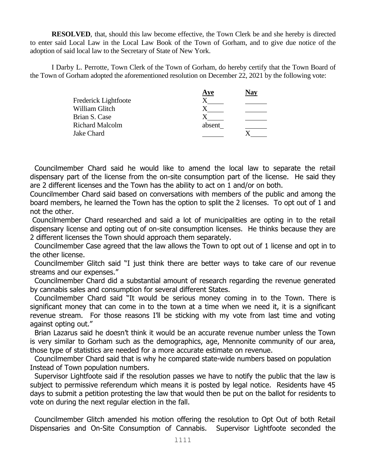**RESOLVED**, that, should this law become effective, the Town Clerk be and she hereby is directed to enter said Local Law in the Local Law Book of the Town of Gorham, and to give due notice of the adoption of said local law to the Secretary of State of New York.

I Darby L. Perrotte, Town Clerk of the Town of Gorham, do hereby certify that the Town Board of the Town of Gorham adopted the aforementioned resolution on December 22, 2021 by the following vote:

|                        | Aye    | $\sqrt{av}$ |
|------------------------|--------|-------------|
| Frederick Lightfoote   |        |             |
| William Glitch         |        |             |
| Brian S. Case          |        |             |
| <b>Richard Malcolm</b> | absent |             |
| Jake Chard             |        |             |

 Councilmember Chard said he would like to amend the local law to separate the retail dispensary part of the license from the on-site consumption part of the license. He said they are 2 different licenses and the Town has the ability to act on 1 and/or on both.

Councilmember Chard said based on conversations with members of the public and among the board members, he learned the Town has the option to split the 2 licenses. To opt out of 1 and not the other.

Councilmember Chard researched and said a lot of municipalities are opting in to the retail dispensary license and opting out of on-site consumption licenses. He thinks because they are 2 different licenses the Town should approach them separately.

 Councilmember Case agreed that the law allows the Town to opt out of 1 license and opt in to the other license.

 Councilmember Glitch said "I just think there are better ways to take care of our revenue streams and our expenses."

 Councilmember Chard did a substantial amount of research regarding the revenue generated by cannabis sales and consumption for several different States.

 Councilmember Chard said "It would be serious money coming in to the Town. There is significant money that can come in to the town at a time when we need it, it is a significant revenue stream. For those reasons I'll be sticking with my vote from last time and voting against opting out."

 Brian Lazarus said he doesn't think it would be an accurate revenue number unless the Town is very similar to Gorham such as the demographics, age, Mennonite community of our area, those type of statistics are needed for a more accurate estimate on revenue.

 Councilmember Chard said that is why he compared state-wide numbers based on population Instead of Town population numbers.

 Supervisor Lightfoote said if the resolution passes we have to notify the public that the law is subject to permissive referendum which means it is posted by legal notice. Residents have 45 days to submit a petition protesting the law that would then be put on the ballot for residents to vote on during the next regular election in the fall.

 Councilmember Glitch amended his motion offering the resolution to Opt Out of both Retail Dispensaries and On-Site Consumption of Cannabis. Supervisor Lightfoote seconded the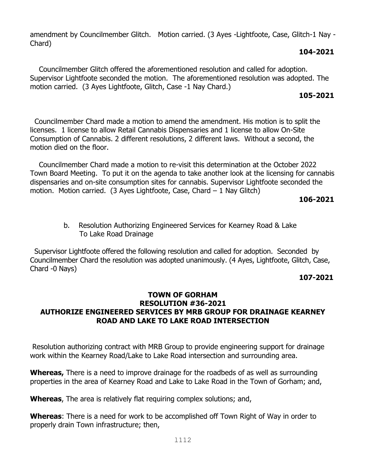amendment by Councilmember Glitch. Motion carried. (3 Ayes -Lightfoote, Case, Glitch-1 Nay - Chard)

## **104-2021**

 Councilmember Glitch offered the aforementioned resolution and called for adoption. Supervisor Lightfoote seconded the motion. The aforementioned resolution was adopted. The motion carried. (3 Ayes Lightfoote, Glitch, Case -1 Nay Chard.)

# **105-2021**

 Councilmember Chard made a motion to amend the amendment. His motion is to split the licenses. 1 license to allow Retail Cannabis Dispensaries and 1 license to allow On-Site Consumption of Cannabis. 2 different resolutions, 2 different laws. Without a second, the motion died on the floor.

 Councilmember Chard made a motion to re-visit this determination at the October 2022 Town Board Meeting. To put it on the agenda to take another look at the licensing for cannabis dispensaries and on-site consumption sites for cannabis. Supervisor Lightfoote seconded the motion. Motion carried. (3 Ayes Lightfoote, Case, Chard  $-1$  Nay Glitch)

# **106-2021**

 b. Resolution Authorizing Engineered Services for Kearney Road & Lake To Lake Road Drainage

 Supervisor Lightfoote offered the following resolution and called for adoption. Seconded by Councilmember Chard the resolution was adopted unanimously. (4 Ayes, Lightfoote, Glitch, Case, Chard -0 Nays)

# **107-2021**

## **TOWN OF GORHAM RESOLUTION #36-2021 AUTHORIZE ENGINEERED SERVICES BY MRB GROUP FOR DRAINAGE KEARNEY ROAD AND LAKE TO LAKE ROAD INTERSECTION**

Resolution authorizing contract with MRB Group to provide engineering support for drainage work within the Kearney Road/Lake to Lake Road intersection and surrounding area.

**Whereas,** There is a need to improve drainage for the roadbeds of as well as surrounding properties in the area of Kearney Road and Lake to Lake Road in the Town of Gorham; and,

**Whereas**, The area is relatively flat requiring complex solutions; and,

**Whereas**: There is a need for work to be accomplished off Town Right of Way in order to properly drain Town infrastructure; then,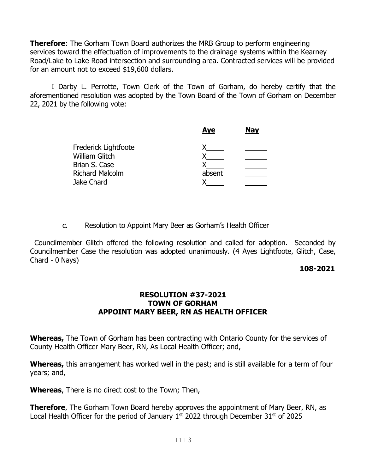**Therefore**: The Gorham Town Board authorizes the MRB Group to perform engineering services toward the effectuation of improvements to the drainage systems within the Kearney Road/Lake to Lake Road intersection and surrounding area. Contracted services will be provided for an amount not to exceed \$19,600 dollars.

I Darby L. Perrotte, Town Clerk of the Town of Gorham, do hereby certify that the aforementioned resolution was adopted by the Town Board of the Town of Gorham on December 22, 2021 by the following vote:

|                        | <b>Aye</b> | <b>Nay</b> |
|------------------------|------------|------------|
| Frederick Lightfoote   |            |            |
| <b>William Glitch</b>  |            |            |
| Brian S. Case          |            |            |
| <b>Richard Malcolm</b> | absent     |            |
| Jake Chard             |            |            |

c. Resolution to Appoint Mary Beer as Gorham's Health Officer

 Councilmember Glitch offered the following resolution and called for adoption. Seconded by Councilmember Case the resolution was adopted unanimously. (4 Ayes Lightfoote, Glitch, Case, Chard - 0 Nays)

## **108-2021**

## **RESOLUTION #37-2021 TOWN OF GORHAM APPOINT MARY BEER, RN AS HEALTH OFFICER**

**Whereas,** The Town of Gorham has been contracting with Ontario County for the services of County Health Officer Mary Beer, RN, As Local Health Officer; and,

**Whereas,** this arrangement has worked well in the past; and is still available for a term of four years; and,

**Whereas**, There is no direct cost to the Town; Then,

**Therefore**, The Gorham Town Board hereby approves the appointment of Mary Beer, RN, as Local Health Officer for the period of January  $1<sup>st</sup>$  2022 through December 31 $<sup>st</sup>$  of 2025</sup>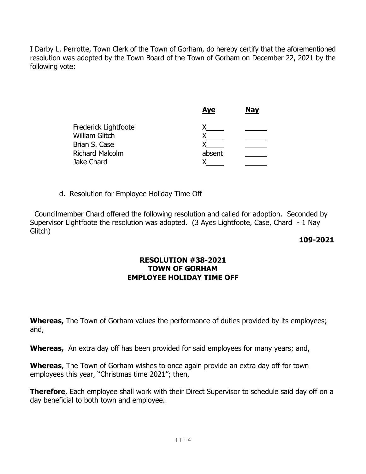I Darby L. Perrotte, Town Clerk of the Town of Gorham, do hereby certify that the aforementioned resolution was adopted by the Town Board of the Town of Gorham on December 22, 2021 by the following vote:

|                        | <b>Aye</b> | <b>Nay</b> |
|------------------------|------------|------------|
| Frederick Lightfoote   |            |            |
| <b>William Glitch</b>  |            |            |
| Brian S. Case          |            |            |
| <b>Richard Malcolm</b> | absent     |            |
| Jake Chard             |            |            |
|                        |            |            |

d. Resolution for Employee Holiday Time Off

 Councilmember Chard offered the following resolution and called for adoption. Seconded by Supervisor Lightfoote the resolution was adopted. (3 Ayes Lightfoote, Case, Chard - 1 Nay Glitch)

#### **109-2021**

### **RESOLUTION #38-2021 TOWN OF GORHAM EMPLOYEE HOLIDAY TIME OFF**

**Whereas,** The Town of Gorham values the performance of duties provided by its employees; and,

**Whereas,** An extra day off has been provided for said employees for many years; and,

**Whereas**, The Town of Gorham wishes to once again provide an extra day off for town employees this year, "Christmas time 2021"; then,

**Therefore**, Each employee shall work with their Direct Supervisor to schedule said day off on a day beneficial to both town and employee.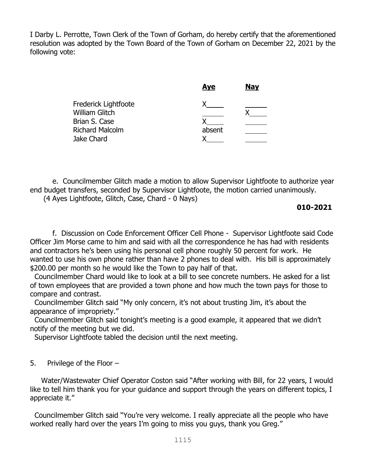I Darby L. Perrotte, Town Clerk of the Town of Gorham, do hereby certify that the aforementioned resolution was adopted by the Town Board of the Town of Gorham on December 22, 2021 by the following vote:

|                        | <b>Aye</b> | <b>Nay</b> |
|------------------------|------------|------------|
| Frederick Lightfoote   |            |            |
| <b>William Glitch</b>  |            |            |
| Brian S. Case          |            |            |
| <b>Richard Malcolm</b> | absent     |            |
| Jake Chard             |            |            |
|                        |            |            |

 e. Councilmember Glitch made a motion to allow Supervisor Lightfoote to authorize year end budget transfers, seconded by Supervisor Lightfoote, the motion carried unanimously. (4 Ayes Lightfoote, Glitch, Case, Chard - 0 Nays)

### **010-2021**

 f. Discussion on Code Enforcement Officer Cell Phone - Supervisor Lightfoote said Code Officer Jim Morse came to him and said with all the correspondence he has had with residents and contractors he's been using his personal cell phone roughly 50 percent for work. He wanted to use his own phone rather than have 2 phones to deal with. His bill is approximately \$200.00 per month so he would like the Town to pay half of that.

 Councilmember Chard would like to look at a bill to see concrete numbers. He asked for a list of town employees that are provided a town phone and how much the town pays for those to compare and contrast.

 Councilmember Glitch said "My only concern, it's not about trusting Jim, it's about the appearance of impropriety."

 Councilmember Glitch said tonight's meeting is a good example, it appeared that we didn't notify of the meeting but we did.

Supervisor Lightfoote tabled the decision until the next meeting.

5. Privilege of the Floor –

 Water/Wastewater Chief Operator Coston said "After working with Bill, for 22 years, I would like to tell him thank you for your quidance and support through the years on different topics, I appreciate it."

 Councilmember Glitch said "You're very welcome. I really appreciate all the people who have worked really hard over the years I'm going to miss you guys, thank you Greg."